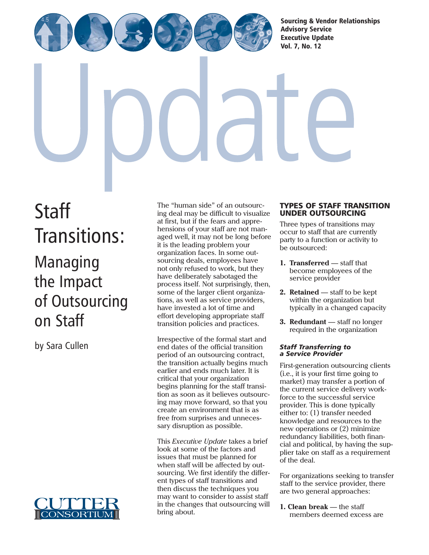[Sourcing & Vendor Relationships](http://www.cutter.com)  Advisory Service Executive Update

Vol. 7, No. 12

**Staff** [Transitions:](http://www.cutter.com)

# Managing the Impact of Outsourcing on Staff

by Sara Cullen



The "human side" of an outsourcing deal may be difficult to visualize at first, but if the fears and apprehensions of your staff are not managed well, it may not be long before it is the leading problem your organization faces. In some outsourcing deals, employees have not only refused to work, but they have deliberately sabotaged the process itself. Not surprisingly, then, some of the larger client organizations, as well as service providers, have invested a lot of time and effort developing appropriate staff transition policies and practices.

Irrespective of the formal start and end dates of the official transition period of an outsourcing contract, the transition actually begins much earlier and ends much later. It is critical that your organization begins planning for the staff transition as soon as it believes outsourcing may move forward, so that you create an environment that is as free from surprises and unnecessary disruption as possible.

This *Executive Update* takes a brief look at some of the factors and issues that must be planned for when staff will be affected by outsourcing. We first identify the different types of staff transitions and then discuss the techniques you may want to consider to assist staff in the changes that outsourcing will bring about.

# TYPES OF STAFF TRANSITION UNDER OUTSOURCING

Three types of transitions may occur to staff that are currently party to a function or activity to be outsourced:

- **1. Transferred** staff that become employees of the service provider
- **2. Retained** staff to be kept within the organization but typically in a changed capacity
- **3. Redundant** staff no longer required in the organization

## *Staff Transferring to a Service Provider*

First-generation outsourcing clients (i.e., it is your first time going to market) may transfer a portion of the current service delivery workforce to the successful service provider. This is done typically either to: (1) transfer needed knowledge and resources to the new operations or (2) minimize redundancy liabilities, both financial and political, by having the supplier take on staff as a requirement of the deal.

For organizations seeking to transfer staff to the service provider, there are two general approaches:

**1. Clean break** — the staff members deemed excess are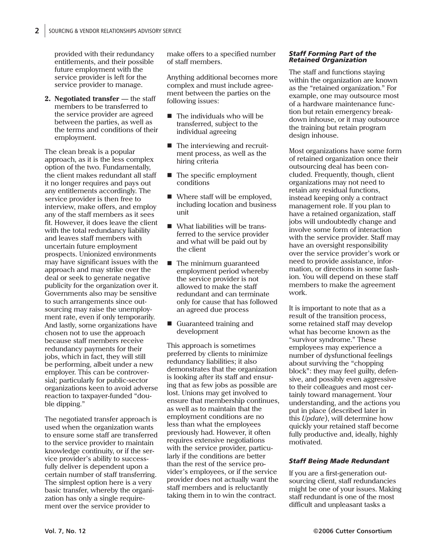provided with their redundancy entitlements, and their possible future employment with the service provider is left for the service provider to manage.

2. Negotiated transfer - the staff members to be transferred to the service provider are agreed between the parties, as well as the terms and conditions of their employment.

The clean break is a popular approach, as it is the less complex option of the two. Fundamentally, the client makes redundant all staff it no longer requires and pays out any entitlements accordingly. The service provider is then free to interview, make offers, and employ any of the staff members as it sees fit. However, it does leave the client with the total redundancy liability and leaves staff members with uncertain future employment prospects. Unionized environments may have significant issues with the approach and may strike over the deal or seek to generate negative publicity for the organization over it. Governments also may be sensitive to such arrangements since outsourcing may raise the unemployment rate, even if only temporarily. And lastly, some organizations have chosen not to use the approach because staff members receive redundancy payments for their jobs, which in fact, they will still be performing, albeit under a new employer. This can be controversial; particularly for public-sector organizations keen to avoid adverse reaction to taxpayer-funded "double dipping."

The negotiated transfer approach is used when the organization wants to ensure some staff are transferred to the service provider to maintain knowledge continuity, or if the service provider's ability to successfully deliver is dependent upon a certain number of staff transferring. The simplest option here is a very basic transfer, whereby the organization has only a single requirement over the service provider to

make offers to a specified number of staff members.

Anything additional becomes more complex and must include agreement between the parties on the following issues:

- The individuals who will be transferred, subject to the individual agreeing
- The interviewing and recruitment process, as well as the hiring criteria
- The specific employment conditions
- Where staff will be employed, including location and business unit
- What liabilities will be transferred to the service provider and what will be paid out by the client
- The minimum guaranteed employment period whereby the service provider is not allowed to make the staff redundant and can terminate only for cause that has followed an agreed due process
- Guaranteed training and development

This approach is sometimes preferred by clients to minimize redundancy liabilities; it also demonstrates that the organization is looking after its staff and ensuring that as few jobs as possible are lost. Unions may get involved to ensure that membership continues, as well as to maintain that the employment conditions are no less than what the employees previously had. However, it often requires extensive negotiations with the service provider, particularly if the conditions are better than the rest of the service provider's employees, or if the service provider does not actually want the staff members and is reluctantly taking them in to win the contract.

## *Staff Forming Part of the Retained Organization*

The staff and functions staying within the organization are known as the "retained organization." For example, one may outsource most of a hardware maintenance function but retain emergency breakdown inhouse, or it may outsource the training but retain program design inhouse.

Most organizations have some form of retained organization once their outsourcing deal has been concluded. Frequently, though, client organizations may not need to retain any residual functions, instead keeping only a contract management role. If you plan to have a retained organization, staff jobs will undoubtedly change and involve some form of interaction with the service provider. Staff may have an oversight responsibility over the service provider's work or need to provide assistance, information, or directions in some fashion. You will depend on these staff members to make the agreement work.

It is important to note that as a result of the transition process, some retained staff may develop what has become known as the "survivor syndrome." These employees may experience a number of dysfunctional feelings about surviving the "chopping block": they may feel guilty, defensive, and possibly even aggressive to their colleagues and most certainly toward management. Your understanding, and the actions you put in place (described later in this *Update*), will determine how quickly your retained staff become fully productive and, ideally, highly motivated.

# *Staff Being Made Redundant*

If you are a first-generation outsourcing client, staff redundancies might be one of your issues. Making staff redundant is one of the most difficult and unpleasant tasks a